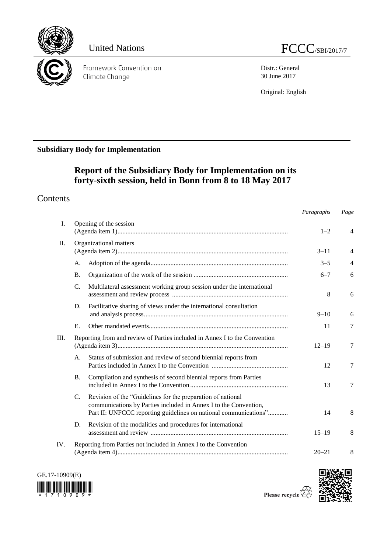

Framework Convention on Climate Change

Distr.: General 30 June 2017

Original: English

# **Subsidiary Body for Implementation**

# **Report of the Subsidiary Body for Implementation on its forty-sixth session, held in Bonn from 8 to 18 May 2017**

# **Contents**

|      |                        |                                                                                                                                                                                                     | Paragraphs | Page           |
|------|------------------------|-----------------------------------------------------------------------------------------------------------------------------------------------------------------------------------------------------|------------|----------------|
| I.   | Opening of the session |                                                                                                                                                                                                     | $1 - 2$    | $\overline{4}$ |
| II.  |                        | Organizational matters                                                                                                                                                                              | $3 - 11$   | $\overline{4}$ |
|      | А.                     |                                                                                                                                                                                                     | $3 - 5$    | $\overline{4}$ |
|      | <b>B.</b>              |                                                                                                                                                                                                     | $6 - 7$    | 6              |
|      | C.                     | Multilateral assessment working group session under the international                                                                                                                               | 8          | 6              |
|      | D.                     | Facilitative sharing of views under the international consultation                                                                                                                                  | $9 - 10$   | 6              |
|      | E.                     |                                                                                                                                                                                                     | 11         | $\tau$         |
| III. |                        | Reporting from and review of Parties included in Annex I to the Convention                                                                                                                          |            | 7              |
|      | A.                     | Status of submission and review of second biennial reports from                                                                                                                                     | 12         | 7              |
|      | <b>B.</b>              | Compilation and synthesis of second biennial reports from Parties                                                                                                                                   | 13         | 7              |
|      | $\mathcal{C}$ .        | Revision of the "Guidelines for the preparation of national<br>communications by Parties included in Annex I to the Convention,<br>Part II: UNFCCC reporting guidelines on national communications" | 14         | 8              |
|      | D.                     | Revision of the modalities and procedures for international                                                                                                                                         | $15 - 19$  | 8              |
| IV.  |                        | Reporting from Parties not included in Annex I to the Convention                                                                                                                                    | $20 - 21$  | 8              |



Please recycle  $\overline{\mathbb{C}}$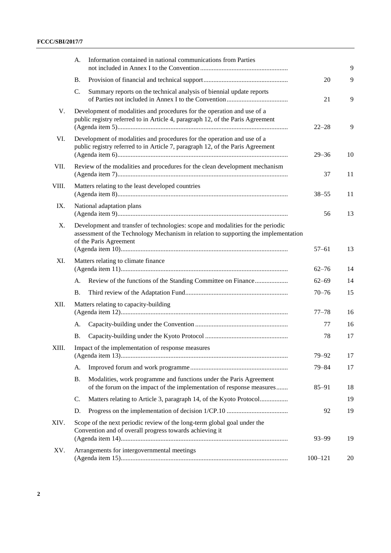|       | А.                                                                                                                                                                     | Information contained in national communications from Parties                                                                                                                                    |             | 9  |
|-------|------------------------------------------------------------------------------------------------------------------------------------------------------------------------|--------------------------------------------------------------------------------------------------------------------------------------------------------------------------------------------------|-------------|----|
|       | Β.                                                                                                                                                                     |                                                                                                                                                                                                  | 20          | 9  |
|       | C.                                                                                                                                                                     | Summary reports on the technical analysis of biennial update reports                                                                                                                             | 21          | 9  |
| V.    |                                                                                                                                                                        | Development of modalities and procedures for the operation and use of a<br>public registry referred to in Article 4, paragraph 12, of the Paris Agreement                                        | $22 - 28$   | 9  |
| VI.   | Development of modalities and procedures for the operation and use of a<br>public registry referred to in Article 7, paragraph 12, of the Paris Agreement<br>$29 - 36$ |                                                                                                                                                                                                  |             | 10 |
| VII.  |                                                                                                                                                                        | Review of the modalities and procedures for the clean development mechanism                                                                                                                      | 37          | 11 |
| VIII. | Matters relating to the least developed countries                                                                                                                      |                                                                                                                                                                                                  | $38 - 55$   | 11 |
| IX.   | National adaptation plans                                                                                                                                              |                                                                                                                                                                                                  | 56          | 13 |
| X.    |                                                                                                                                                                        | Development and transfer of technologies: scope and modalities for the periodic<br>assessment of the Technology Mechanism in relation to supporting the implementation<br>of the Paris Agreement | $57 - 61$   | 13 |
| XI.   |                                                                                                                                                                        | Matters relating to climate finance                                                                                                                                                              | $62 - 76$   | 14 |
|       | A.                                                                                                                                                                     | Review of the functions of the Standing Committee on Finance                                                                                                                                     | $62 - 69$   | 14 |
|       | <b>B.</b>                                                                                                                                                              |                                                                                                                                                                                                  | $70 - 76$   | 15 |
| XII.  | Matters relating to capacity-building                                                                                                                                  |                                                                                                                                                                                                  | $77 - 78$   | 16 |
|       | A.                                                                                                                                                                     |                                                                                                                                                                                                  | 77          | 16 |
|       | Β.                                                                                                                                                                     |                                                                                                                                                                                                  | 78          | 17 |
| XIII. |                                                                                                                                                                        | Impact of the implementation of response measures                                                                                                                                                | $79 - 92$   | 17 |
|       | A.                                                                                                                                                                     |                                                                                                                                                                                                  | $79 - 84$   | 17 |
|       | <b>B.</b>                                                                                                                                                              | Modalities, work programme and functions under the Paris Agreement<br>of the forum on the impact of the implementation of response measures                                                      | $85 - 91$   | 18 |
|       | C.                                                                                                                                                                     | Matters relating to Article 3, paragraph 14, of the Kyoto Protocol                                                                                                                               |             | 19 |
|       | D.                                                                                                                                                                     |                                                                                                                                                                                                  | 92          | 19 |
| XIV.  |                                                                                                                                                                        | Scope of the next periodic review of the long-term global goal under the<br>Convention and of overall progress towards achieving it                                                              | $93 - 99$   | 19 |
| XV.   |                                                                                                                                                                        | Arrangements for intergovernmental meetings                                                                                                                                                      | $100 - 121$ | 20 |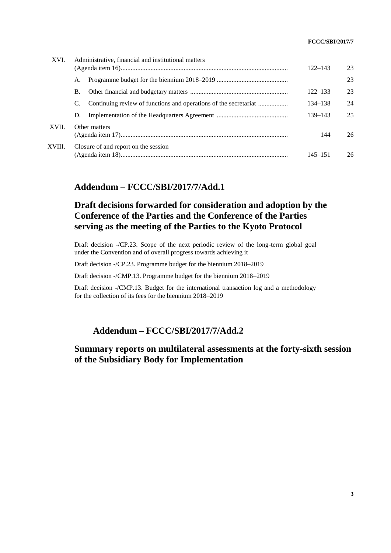| XVI.   | Administrative, financial and institutional matters                    | $122 - 143$ | 23 |
|--------|------------------------------------------------------------------------|-------------|----|
|        | А.                                                                     |             | 23 |
|        | В.                                                                     | $122 - 133$ | 23 |
|        | Continuing review of functions and operations of the secretariat<br>C. | 134–138     | 24 |
|        | D.                                                                     | 139–143     | 25 |
| XVII.  | Other matters                                                          | 144         | 26 |
| XVIII. | Closure of and report on the session                                   | 145–151     | 26 |

# **Addendum – FCCC/SBI/2017/7/Add.1**

# **Draft decisions forwarded for consideration and adoption by the Conference of the Parties and the Conference of the Parties serving as the meeting of the Parties to the Kyoto Protocol**

Draft decision -/CP.23. Scope of the next periodic review of the long-term global goal under the Convention and of overall progress towards achieving it

Draft decision -/CP.23. Programme budget for the biennium 2018–2019

Draft decision -/CMP.13. Programme budget for the biennium 2018–2019

Draft decision -/CMP.13. Budget for the international transaction log and a methodology for the collection of its fees for the biennium 2018–2019

# **Addendum – FCCC/SBI/2017/7/Add.2**

# **Summary reports on multilateral assessments at the forty-sixth session of the Subsidiary Body for Implementation**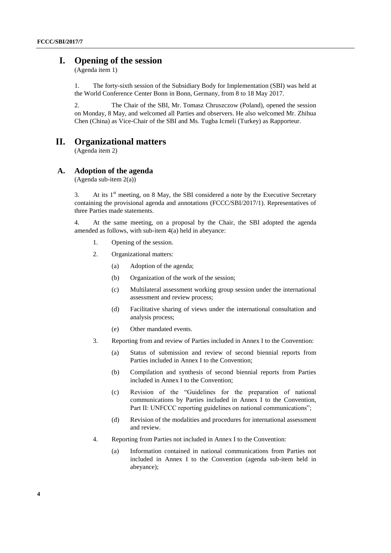# **I. Opening of the session**

(Agenda item 1)

1. The forty-sixth session of the Subsidiary Body for Implementation (SBI) was held at the World Conference Center Bonn in Bonn, Germany, from 8 to 18 May 2017.

2. The Chair of the SBI, Mr. Tomasz Chruszczow (Poland), opened the session on Monday, 8 May, and welcomed all Parties and observers. He also welcomed Mr. Zhihua Chen (China) as Vice-Chair of the SBI and Ms. Tugba Icmeli (Turkey) as Rapporteur.

# **II. Organizational matters**

(Agenda item 2)

## **A. Adoption of the agenda**

(Agenda sub-item 2(a))

3. At its  $1<sup>st</sup>$  meeting, on 8 May, the SBI considered a note by the Executive Secretary containing the provisional agenda and annotations (FCCC/SBI/2017/1). Representatives of three Parties made statements.

4. At the same meeting, on a proposal by the Chair, the SBI adopted the agenda amended as follows, with sub-item 4(a) held in abeyance:

- 1. Opening of the session.
- 2. Organizational matters:
	- (a) Adoption of the agenda;
	- (b) Organization of the work of the session;
	- (c) Multilateral assessment working group session under the international assessment and review process;
	- (d) Facilitative sharing of views under the international consultation and analysis process;
	- (e) Other mandated events.
- 3. Reporting from and review of Parties included in Annex I to the Convention:
	- (a) Status of submission and review of second biennial reports from Parties included in Annex I to the Convention;
	- (b) Compilation and synthesis of second biennial reports from Parties included in Annex I to the Convention;
	- (c) Revision of the "Guidelines for the preparation of national communications by Parties included in Annex I to the Convention, Part II: UNFCCC reporting guidelines on national communications";
	- (d) Revision of the modalities and procedures for international assessment and review.
- 4. Reporting from Parties not included in Annex I to the Convention:
	- (a) Information contained in national communications from Parties not included in Annex I to the Convention (agenda sub-item held in abeyance);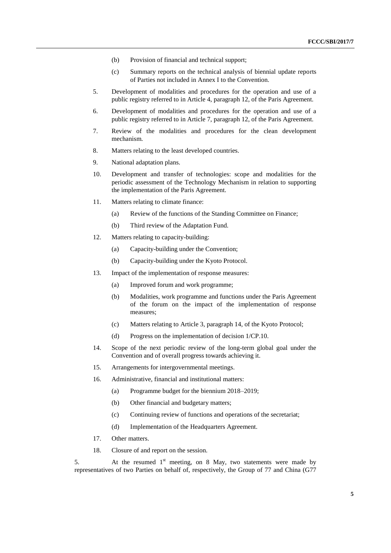- (b) Provision of financial and technical support;
- (c) Summary reports on the technical analysis of biennial update reports of Parties not included in Annex I to the Convention.
- 5. Development of modalities and procedures for the operation and use of a public registry referred to in Article 4, paragraph 12, of the Paris Agreement.
- 6. Development of modalities and procedures for the operation and use of a public registry referred to in Article 7, paragraph 12, of the Paris Agreement.
- 7. Review of the modalities and procedures for the clean development mechanism.
- 8. Matters relating to the least developed countries.
- 9. National adaptation plans.
- 10. Development and transfer of technologies: scope and modalities for the periodic assessment of the Technology Mechanism in relation to supporting the implementation of the Paris Agreement.
- 11. Matters relating to climate finance:
	- (a) Review of the functions of the Standing Committee on Finance;
	- (b) Third review of the Adaptation Fund.
- 12. Matters relating to capacity-building:
	- (a) Capacity-building under the Convention;
	- (b) Capacity-building under the Kyoto Protocol.
- 13. Impact of the implementation of response measures:
	- (a) Improved forum and work programme;
	- (b) Modalities, work programme and functions under the Paris Agreement of the forum on the impact of the implementation of response measures;
	- (c) Matters relating to Article 3, paragraph 14, of the Kyoto Protocol;
	- (d) Progress on the implementation of decision 1/CP.10.
- 14. Scope of the next periodic review of the long-term global goal under the Convention and of overall progress towards achieving it.
- 15. Arrangements for intergovernmental meetings.
- 16. Administrative, financial and institutional matters:
	- (a) Programme budget for the biennium 2018–2019;
	- (b) Other financial and budgetary matters;
	- (c) Continuing review of functions and operations of the secretariat;
	- (d) Implementation of the Headquarters Agreement.
- 17. Other matters.
- 18. Closure of and report on the session.

5. At the resumed  $1<sup>st</sup>$  meeting, on 8 May, two statements were made by representatives of two Parties on behalf of, respectively, the Group of 77 and China (G77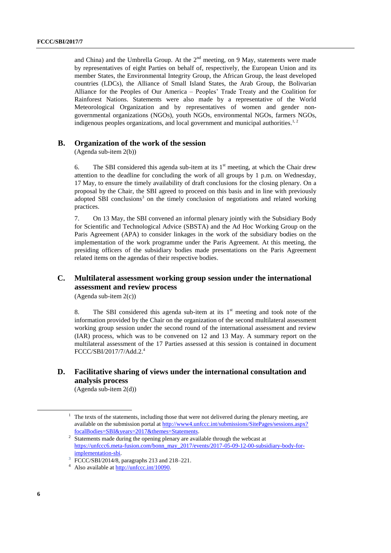and China) and the Umbrella Group. At the  $2<sup>nd</sup>$  meeting, on 9 May, statements were made by representatives of eight Parties on behalf of, respectively, the European Union and its member States, the Environmental Integrity Group, the African Group, the least developed countries (LDCs), the Alliance of Small Island States, the Arab Group, the Bolivarian Alliance for the Peoples of Our America – Peoples' Trade Treaty and the Coalition for Rainforest Nations. Statements were also made by a representative of the World Meteorological Organization and by representatives of women and gender nongovernmental organizations (NGOs), youth NGOs, environmental NGOs, farmers NGOs, indigenous peoples organizations, and local government and municipal authorities.<sup>1,2</sup>

### **B. Organization of the work of the session**

(Agenda sub-item 2(b))

6. The SBI considered this agenda sub-item at its  $1<sup>st</sup>$  meeting, at which the Chair drew attention to the deadline for concluding the work of all groups by 1 p.m. on Wednesday, 17 May, to ensure the timely availability of draft conclusions for the closing plenary. On a proposal by the Chair, the SBI agreed to proceed on this basis and in line with previously adopted SBI conclusions<sup>3</sup> on the timely conclusion of negotiations and related working practices.

7. On 13 May, the SBI convened an informal plenary jointly with the Subsidiary Body for Scientific and Technological Advice (SBSTA) and the Ad Hoc Working Group on the Paris Agreement (APA) to consider linkages in the work of the subsidiary bodies on the implementation of the work programme under the Paris Agreement. At this meeting, the presiding officers of the subsidiary bodies made presentations on the Paris Agreement related items on the agendas of their respective bodies.

# **C. Multilateral assessment working group session under the international assessment and review process**

(Agenda sub-item 2(c))

8. The SBI considered this agenda sub-item at its  $1<sup>st</sup>$  meeting and took note of the information provided by the Chair on the organization of the second multilateral assessment working group session under the second round of the international assessment and review (IAR) process, which was to be convened on 12 and 13 May. A summary report on the multilateral assessment of the 17 Parties assessed at this session is contained in document FCCC/SBI/2017/7/Add.2. 4

# **D. Facilitative sharing of views under the international consultation and analysis process**

(Agenda sub-item 2(d))

 $1$  The texts of the statements, including those that were not delivered during the plenary meeting, are available on the submission portal at [http://www4.unfccc.int/submissions/SitePages/sessions.aspx?](http://www4.unfccc.int/submissions/SitePages/sessions.aspx?focalBodies=SBI&years=2017&themes=Statements) [focalBodies=SBI&years=2017&themes=Statements.](http://www4.unfccc.int/submissions/SitePages/sessions.aspx?focalBodies=SBI&years=2017&themes=Statements)

 $2<sup>2</sup>$  Statements made during the opening plenary are available through the webcast at [https://unfccc6.meta-fusion.com/bonn\\_may\\_2017/events/2017-05-09-12-00-subsidiary-body-for](https://unfccc6.meta-fusion.com/bonn_may_2017/events/2017-05-09-12-00-subsidiary-body-for-implementation-sbi)[implementation-sbi.](https://unfccc6.meta-fusion.com/bonn_may_2017/events/2017-05-09-12-00-subsidiary-body-for-implementation-sbi) 

<sup>3</sup> FCCC/SBI/2014/8, paragraphs 213 and 218–221.

<sup>4</sup> Also available at [http://unfccc.int/10090.](http://www.unfccc.int/10090)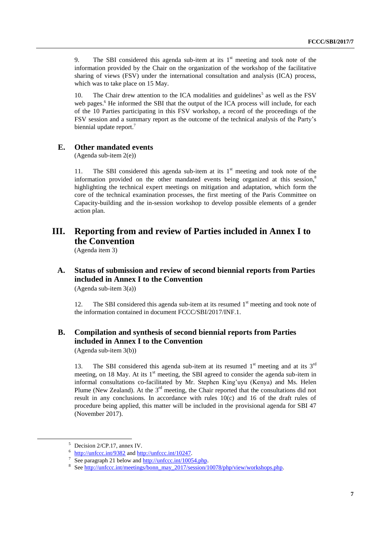9. The SBI considered this agenda sub-item at its  $1<sup>st</sup>$  meeting and took note of the information provided by the Chair on the organization of the workshop of the facilitative sharing of views (FSV) under the international consultation and analysis (ICA) process, which was to take place on 15 May.

10. The Chair drew attention to the ICA modalities and guidelines<sup>5</sup> as well as the  $FSV$ web pages.<sup>6</sup> He informed the SBI that the output of the ICA process will include, for each of the 10 Parties participating in this FSV workshop, a record of the proceedings of the FSV session and a summary report as the outcome of the technical analysis of the Party's biennial update report.<sup>7</sup>

## **E. Other mandated events**

(Agenda sub-item 2(e))

11. The SBI considered this agenda sub-item at its  $1<sup>st</sup>$  meeting and took note of the information provided on the other mandated events being organized at this session, 8 highlighting the technical expert meetings on mitigation and adaptation, which form the core of the technical examination processes, the first meeting of the Paris Committee on Capacity-building and the in-session workshop to develop possible elements of a gender action plan.

# **III. Reporting from and review of Parties included in Annex I to the Convention**

(Agenda item 3)

# **A. Status of submission and review of second biennial reports from Parties included in Annex I to the Convention**

(Agenda sub-item 3(a))

12. The SBI considered this agenda sub-item at its resumed 1<sup>st</sup> meeting and took note of the information contained in document FCCC/SBI/2017/INF.1.

# **B. Compilation and synthesis of second biennial reports from Parties included in Annex I to the Convention**

(Agenda sub-item 3(b))

13. The SBI considered this agenda sub-item at its resumed  $1<sup>st</sup>$  meeting and at its  $3<sup>rd</sup>$ meeting, on 18 May. At its  $1<sup>st</sup>$  meeting, the SBI agreed to consider the agenda sub-item in informal consultations co-facilitated by Mr. Stephen King'uyu (Kenya) and Ms. Helen Plume (New Zealand). At the  $3<sup>rd</sup>$  meeting, the Chair reported that the consultations did not result in any conclusions. In accordance with rules  $10(c)$  and 16 of the draft rules of procedure being applied, this matter will be included in the provisional agenda for SBI 47 (November 2017).

<sup>5</sup> Decision 2/CP.17, annex IV.

<sup>&</sup>lt;sup>6</sup> <http://unfccc.int/9382> an[d http://unfccc.int/10247.](http://unfccc.int/10247)

<sup>&</sup>lt;sup>7</sup> See paragraph 21 below and  $\frac{http://unfcc.int/10054.php}{http://unfcc.int/10054.php}$ .

<sup>&</sup>lt;sup>8</sup> Se[e http://unfccc.int/meetings/bonn\\_may\\_2017/session/10078/php/view/workshops.php.](http://unfccc.int/meetings/bonn_may_2017/session/10078/php/view/workshops.php)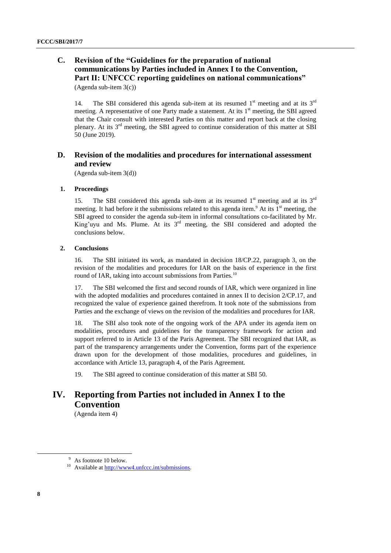# **C. Revision of the "Guidelines for the preparation of national communications by Parties included in Annex I to the Convention, Part II: UNFCCC reporting guidelines on national communications"**

(Agenda sub-item 3(c))

14. The SBI considered this agenda sub-item at its resumed  $1<sup>st</sup>$  meeting and at its  $3<sup>rd</sup>$ meeting. A representative of one Party made a statement. At its  $1<sup>st</sup>$  meeting, the SBI agreed that the Chair consult with interested Parties on this matter and report back at the closing plenary. At its 3rd meeting, the SBI agreed to continue consideration of this matter at SBI 50 (June 2019).

## **D. Revision of the modalities and procedures for international assessment and review**

(Agenda sub-item 3(d))

#### **1. Proceedings**

15. The SBI considered this agenda sub-item at its resumed  $1<sup>st</sup>$  meeting and at its  $3<sup>rd</sup>$ meeting. It had before it the submissions related to this agenda item.<sup>9</sup> At its  $1<sup>st</sup>$  meeting, the SBI agreed to consider the agenda sub-item in informal consultations co-facilitated by Mr. King'uyu and Ms. Plume. At its 3<sup>rd</sup> meeting, the SBI considered and adopted the conclusions below.

#### **2. Conclusions**

16. The SBI initiated its work, as mandated in decision 18/CP.22, paragraph 3, on the revision of the modalities and procedures for IAR on the basis of experience in the first round of IAR, taking into account submissions from Parties.<sup>10</sup>

17. The SBI welcomed the first and second rounds of IAR, which were organized in line with the adopted modalities and procedures contained in annex II to decision 2/CP.17, and recognized the value of experience gained therefrom. It took note of the submissions from Parties and the exchange of views on the revision of the modalities and procedures for IAR.

18. The SBI also took note of the ongoing work of the APA under its agenda item on modalities, procedures and guidelines for the transparency framework for action and support referred to in Article 13 of the Paris Agreement. The SBI recognized that IAR, as part of the transparency arrangements under the Convention, forms part of the experience drawn upon for the development of those modalities, procedures and guidelines, in accordance with Article 13, paragraph 4, of the Paris Agreement.

19. The SBI agreed to continue consideration of this matter at SBI 50.

# **IV. Reporting from Parties not included in Annex I to the Convention**

(Agenda item 4)

<sup>&</sup>lt;sup>9</sup> As footnote 10 below.

<sup>10</sup> Available at [http://www4.unfccc.int/submissions.](http://www4.unfccc.int/submissions)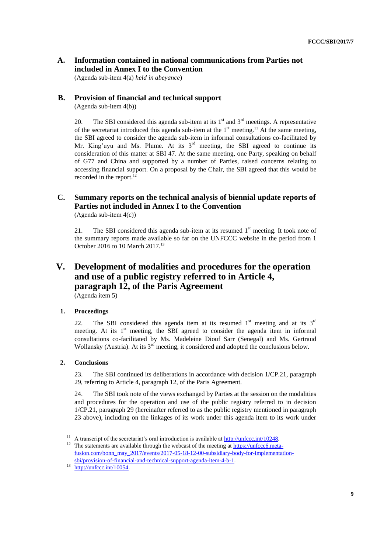# **A. Information contained in national communications from Parties not included in Annex I to the Convention**

(Agenda sub-item 4(a) *held in abeyance*)

### **B. Provision of financial and technical support**

(Agenda sub-item 4(b))

20. The SBI considered this agenda sub-item at its  $1<sup>st</sup>$  and  $3<sup>rd</sup>$  meetings. A representative of the secretariat introduced this agenda sub-item at the  $1<sup>st</sup>$  meeting.<sup>11</sup> At the same meeting, the SBI agreed to consider the agenda sub-item in informal consultations co-facilitated by Mr. King'uyu and Ms. Plume. At its  $3<sup>rd</sup>$  meeting, the SBI agreed to continue its consideration of this matter at SBI 47. At the same meeting, one Party, speaking on behalf of G77 and China and supported by a number of Parties, raised concerns relating to accessing financial support. On a proposal by the Chair, the SBI agreed that this would be recorded in the report.<sup>12</sup>

# **C. Summary reports on the technical analysis of biennial update reports of Parties not included in Annex I to the Convention**

(Agenda sub-item 4(c))

21. The SBI considered this agenda sub-item at its resumed  $1<sup>st</sup>$  meeting. It took note of the summary reports made available so far on the UNFCCC website in the period from 1 October 2016 to 10 March 2017. 13

# **V. Development of modalities and procedures for the operation and use of a public registry referred to in Article 4, paragraph 12, of the Paris Agreement** (Agenda item 5)

### **1. Proceedings**

22. The SBI considered this agenda item at its resumed  $1<sup>st</sup>$  meeting and at its  $3<sup>rd</sup>$ meeting. At its 1<sup>st</sup> meeting, the SBI agreed to consider the agenda item in informal consultations co-facilitated by Ms. Madeleine Diouf Sarr (Senegal) and Ms. Gertraud Wollansky (Austria). At its  $3^{rd}$  meeting, it considered and adopted the conclusions below.

### **2. Conclusions**

-

23. The SBI continued its deliberations in accordance with decision 1/CP.21, paragraph 29, referring to Article 4, paragraph 12, of the Paris Agreement.

24. The SBI took note of the views exchanged by Parties at the session on the modalities and procedures for the operation and use of the public registry referred to in decision 1/CP.21, paragraph 29 (hereinafter referred to as the public registry mentioned in paragraph 23 above), including on the linkages of its work under this agenda item to its work under

<sup>&</sup>lt;sup>11</sup> A transcript of the secretariat's oral introduction is available at  $\frac{http://unfcc.int/10248.}{http://unfcc.int/10248.}$ 

<sup>&</sup>lt;sup>12</sup> The statements are available through the webcast of the meeting at [https://unfccc6.meta](https://unfccc6.meta-fusion.com/bonn_may_2017/events/2017-05-18-12-00-subsidiary-body-for-implementation-sbi/provision-of-financial-and-technical-support-agenda-item-4-b-1)[fusion.com/bonn\\_may\\_2017/events/2017-05-18-12-00-subsidiary-body-for-implementation](https://unfccc6.meta-fusion.com/bonn_may_2017/events/2017-05-18-12-00-subsidiary-body-for-implementation-sbi/provision-of-financial-and-technical-support-agenda-item-4-b-1)[sbi/provision-of-financial-and-technical-support-agenda-item-4-b-1.](https://unfccc6.meta-fusion.com/bonn_may_2017/events/2017-05-18-12-00-subsidiary-body-for-implementation-sbi/provision-of-financial-and-technical-support-agenda-item-4-b-1) 

 $13 \frac{\text{http://unfcc.int/10054}}{\text{http://unfcc.int/10054}}$ .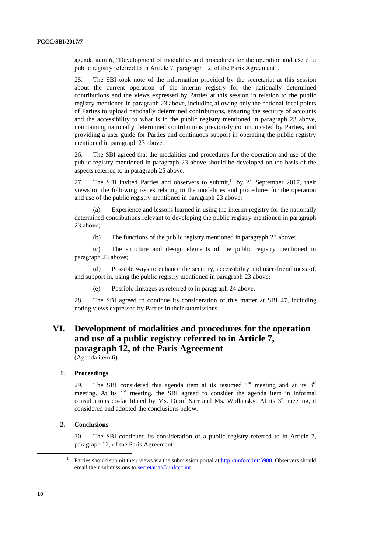agenda item 6, "Development of modalities and procedures for the operation and use of a public registry referred to in Article 7, paragraph 12, of the Paris Agreement".

25. The SBI took note of the information provided by the secretariat at this session about the current operation of the interim registry for the nationally determined contributions and the views expressed by Parties at this session in relation to the public registry mentioned in paragraph 23 above, including allowing only the national focal points of Parties to upload nationally determined contributions, ensuring the security of accounts and the accessibility to what is in the public registry mentioned in paragraph 23 above, maintaining nationally determined contributions previously communicated by Parties, and providing a user guide for Parties and continuous support in operating the public registry mentioned in paragraph 23 above.

26. The SBI agreed that the modalities and procedures for the operation and use of the public registry mentioned in paragraph 23 above should be developed on the basis of the aspects referred to in paragraph 25 above.

27. The SBI invited Parties and observers to submit, $14$  by 21 September 2017, their views on the following issues relating to the modalities and procedures for the operation and use of the public registry mentioned in paragraph 23 above:

(a) Experience and lessons learned in using the interim registry for the nationally determined contributions relevant to developing the public registry mentioned in paragraph 23 above;

(b) The functions of the public registry mentioned in paragraph 23 above;

(c) The structure and design elements of the public registry mentioned in paragraph 23 above;

(d) Possible ways to enhance the security, accessibility and user-friendliness of, and support in, using the public registry mentioned in paragraph 23 above;

Possible linkages as referred to in paragraph 24 above.

28. The SBI agreed to continue its consideration of this matter at SBI 47, including noting views expressed by Parties in their submissions.

# **VI. Development of modalities and procedures for the operation and use of a public registry referred to in Article 7, paragraph 12, of the Paris Agreement**

(Agenda item 6)

#### **1. Proceedings**

29. The SBI considered this agenda item at its resumed  $1<sup>st</sup>$  meeting and at its  $3<sup>rd</sup>$ meeting. At its  $1<sup>st</sup>$  meeting, the SBI agreed to consider the agenda item in informal consultations co-facilitated by Ms. Diouf Sarr and Ms. Wollansky. At its  $3<sup>rd</sup>$  meeting, it considered and adopted the conclusions below.

#### **2. Conclusions**

30. The SBI continued its consideration of a public registry referred to in Article 7, paragraph 12, of the Paris Agreement.

<sup>&</sup>lt;sup>14</sup> Parties should submit their views via the submission portal at  $\frac{http://unfcc.int/5900}{http://unfcc.int/5900}$ . Observers should email their submissions to [secretariat@unfccc.int.](https://process.unfccc.int/sites/docs/SB%20461/SBI/secretariat@unfccc.int)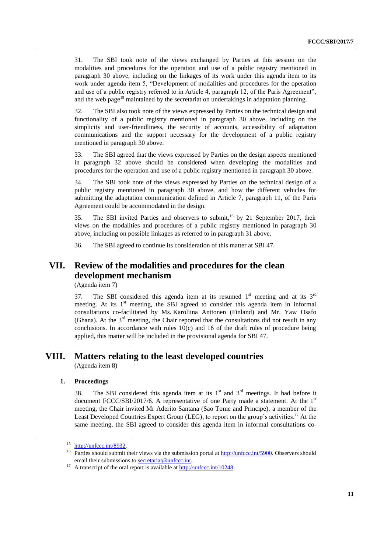31. The SBI took note of the views exchanged by Parties at this session on the modalities and procedures for the operation and use of a public registry mentioned in paragraph 30 above, including on the linkages of its work under this agenda item to its work under agenda item 5, "Development of modalities and procedures for the operation and use of a public registry referred to in Article 4, paragraph 12, of the Paris Agreement", and the web page<sup>15</sup> maintained by the secretariat on undertakings in adaptation planning.

32. The SBI also took note of the views expressed by Parties on the technical design and functionality of a public registry mentioned in paragraph 30 above, including on the simplicity and user-friendliness, the security of accounts, accessibility of adaptation communications and the support necessary for the development of a public registry mentioned in paragraph 30 above.

33. The SBI agreed that the views expressed by Parties on the design aspects mentioned in paragraph 32 above should be considered when developing the modalities and procedures for the operation and use of a public registry mentioned in paragraph 30 above.

34. The SBI took note of the views expressed by Parties on the technical design of a public registry mentioned in paragraph 30 above, and how the different vehicles for submitting the adaptation communication defined in Article 7, paragraph 11, of the Paris Agreement could be accommodated in the design.

35. The SBI invited Parties and observers to submit,<sup>16</sup> by 21 September 2017, their views on the modalities and procedures of a public registry mentioned in paragraph 30 above, including on possible linkages as referred to in paragraph 31 above.

36. The SBI agreed to continue its consideration of this matter at SBI 47.

# **VII. Review of the modalities and procedures for the clean development mechanism**

(Agenda item 7)

37. The SBI considered this agenda item at its resumed  $1<sup>st</sup>$  meeting and at its  $3<sup>rd</sup>$ meeting. At its 1<sup>st</sup> meeting, the SBI agreed to consider this agenda item in informal consultations co-facilitated by Ms. Karoliina Anttonen (Finland) and Mr. Yaw Osafo (Ghana). At the  $3<sup>rd</sup>$  meeting, the Chair reported that the consultations did not result in any conclusions. In accordance with rules  $10(c)$  and 16 of the draft rules of procedure being applied, this matter will be included in the provisional agenda for SBI 47.

# **VIII. Matters relating to the least developed countries**

(Agenda item 8)

#### **1. Proceedings**

-

38. The SBI considered this agenda item at its  $1<sup>st</sup>$  and  $3<sup>rd</sup>$  meetings. It had before it document FCCC/SBI/2017/6. A representative of one Party made a statement. At the  $1<sup>st</sup>$ meeting, the Chair invited Mr Aderito Santana (Sao Tome and Principe), a member of the Least Developed Countries Expert Group (LEG), to report on the group's activities.<sup>17</sup> At the same meeting, the SBI agreed to consider this agenda item in informal consultations co-

 $15$  [http://unfccc.int/8932.](http://unfccc.int/8932)

<sup>&</sup>lt;sup>16</sup> Parties should submit their views via the submission portal at [http://unfccc.int/5900.](http://unfccc.int/5900) Observers should email their submissions to [secretariat@unfccc.int.](mailto:secretariat@unfccc.int)

<sup>&</sup>lt;sup>17</sup> A transcript of the oral report is available at  $\frac{http://unfcc.int/10248.}{http://unfcc.int/10248.}$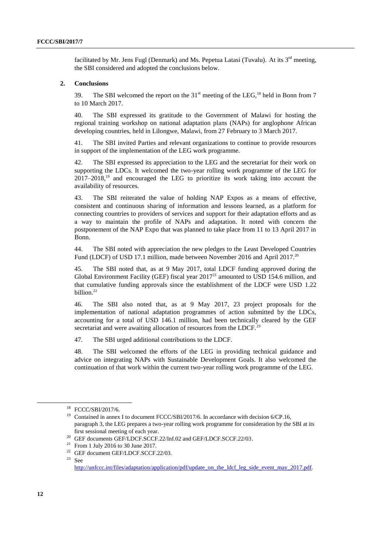facilitated by Mr. Jens Fugl (Denmark) and Ms. Pepetua Latasi (Tuvalu). At its  $3<sup>rd</sup>$  meeting, the SBI considered and adopted the conclusions below.

#### **2. Conclusions**

39. The SBI welcomed the report on the  $31<sup>st</sup>$  meeting of the LEG.<sup>18</sup> held in Bonn from 7 to 10 March 2017.

40. The SBI expressed its gratitude to the Government of Malawi for hosting the regional training workshop on national adaptation plans (NAPs) for anglophone African developing countries, held in Lilongwe, Malawi, from 27 February to 3 March 2017.

41. The SBI invited Parties and relevant organizations to continue to provide resources in support of the implementation of the LEG work programme.

42. The SBI expressed its appreciation to the LEG and the secretariat for their work on supporting the LDCs. It welcomed the two-year rolling work programme of the LEG for 2017–2018,<sup>19</sup> and encouraged the LEG to prioritize its work taking into account the availability of resources.

43. The SBI reiterated the value of holding NAP Expos as a means of effective, consistent and continuous sharing of information and lessons learned, as a platform for connecting countries to providers of services and support for their adaptation efforts and as a way to maintain the profile of NAPs and adaptation. It noted with concern the postponement of the NAP Expo that was planned to take place from 11 to 13 April 2017 in Bonn.

44. The SBI noted with appreciation the new pledges to the Least Developed Countries Fund (LDCF) of USD 17.1 million, made between November 2016 and April 2017.<sup>20</sup>

45. The SBI noted that, as at 9 May 2017, total LDCF funding approved during the Global Environment Facility (GEF) fiscal year 2017<sup>21</sup> amounted to USD 154.6 million, and that cumulative funding approvals since the establishment of the LDCF were USD 1.22 billion.<sup>22</sup>

46. The SBI also noted that, as at 9 May 2017, 23 project proposals for the implementation of national adaptation programmes of action submitted by the LDCs, accounting for a total of USD 146.1 million, had been technically cleared by the GEF secretariat and were awaiting allocation of resources from the LDCF.<sup>23</sup>

47. The SBI urged additional contributions to the LDCF.

48. The SBI welcomed the efforts of the LEG in providing technical guidance and advice on integrating NAPs with Sustainable Development Goals. It also welcomed the continuation of that work within the current two-year rolling work programme of the LEG.

<sup>18</sup> FCCC/SBI/2017/6.

<sup>&</sup>lt;sup>19</sup> Contained in annex I to document FCCC/SBI/2017/6. In accordance with decision 6/CP.16, paragraph 3, the LEG prepares a two-year rolling work programme for consideration by the SBI at its first sessional meeting of each year.

<sup>&</sup>lt;sup>20</sup> GEF documents GEF/LDCF.SCCF.22/Inf.02 and GEF/LDCF.SCCF.22/03.

<sup>21</sup> From 1 July 2016 to 30 June 2017.

<sup>22</sup> GEF document GEF/LDCF.SCCF.22/03.

 $23$  See

[http://unfccc.int/files/adaptation/application/pdf/update\\_on\\_the\\_ldcf\\_leg\\_side\\_event\\_may\\_2017.pdf.](http://unfccc.int/files/adaptation/application/pdf/update_on_the_ldcf_leg_side_event_may_2017.pdf)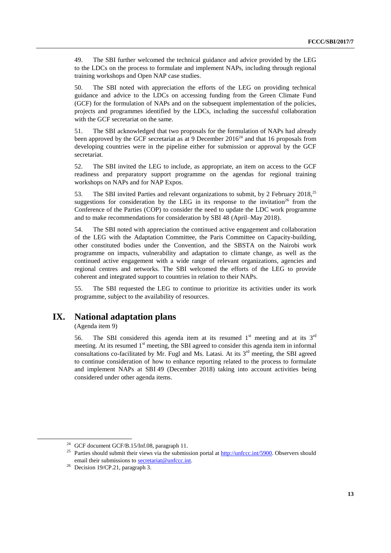49. The SBI further welcomed the technical guidance and advice provided by the LEG to the LDCs on the process to formulate and implement NAPs, including through regional training workshops and Open NAP case studies.

50. The SBI noted with appreciation the efforts of the LEG on providing technical guidance and advice to the LDCs on accessing funding from the Green Climate Fund (GCF) for the formulation of NAPs and on the subsequent implementation of the policies, projects and programmes identified by the LDCs, including the successful collaboration with the GCF secretariat on the same.

51. The SBI acknowledged that two proposals for the formulation of NAPs had already been approved by the GCF secretariat as at 9 December  $2016^{24}$  and that 16 proposals from developing countries were in the pipeline either for submission or approval by the GCF secretariat.

52. The SBI invited the LEG to include, as appropriate, an item on access to the GCF readiness and preparatory support programme on the agendas for regional training workshops on NAPs and for NAP Expos.

53. The SBI invited Parties and relevant organizations to submit, by 2 February 2018,<sup>25</sup> suggestions for consideration by the LEG in its response to the invitation<sup>26</sup> from the Conference of the Parties (COP) to consider the need to update the LDC work programme and to make recommendations for consideration by SBI 48 (April–May 2018).

54. The SBI noted with appreciation the continued active engagement and collaboration of the LEG with the Adaptation Committee, the Paris Committee on Capacity-building, other constituted bodies under the Convention, and the SBSTA on the Nairobi work programme on impacts, vulnerability and adaptation to climate change, as well as the continued active engagement with a wide range of relevant organizations, agencies and regional centres and networks. The SBI welcomed the efforts of the LEG to provide coherent and integrated support to countries in relation to their NAPs.

55. The SBI requested the LEG to continue to prioritize its activities under its work programme, subject to the availability of resources.

# **IX. National adaptation plans**

(Agenda item 9)

56. The SBI considered this agenda item at its resumed  $1<sup>st</sup>$  meeting and at its  $3<sup>rd</sup>$ meeting. At its resumed 1<sup>st</sup> meeting, the SBI agreed to consider this agenda item in informal consultations co-facilitated by Mr. Fugl and Ms. Latasi. At its  $3<sup>rd</sup>$  meeting, the SBI agreed to continue consideration of how to enhance reporting related to the process to formulate and implement NAPs at SBI 49 (December 2018) taking into account activities being considered under other agenda items.

<sup>&</sup>lt;sup>24</sup> GCF document GCF/B.15/Inf.08, paragraph 11.

<sup>&</sup>lt;sup>25</sup> Parties should submit their views via the submission portal at  $\frac{http://unfcc.int/5900}{http://unfcc.int/5900}$ . Observers should email their submissions to [secretariat@unfccc.int.](mailto:secretariat@unfccc.int)

<sup>&</sup>lt;sup>26</sup> Decision 19/CP.21, paragraph 3.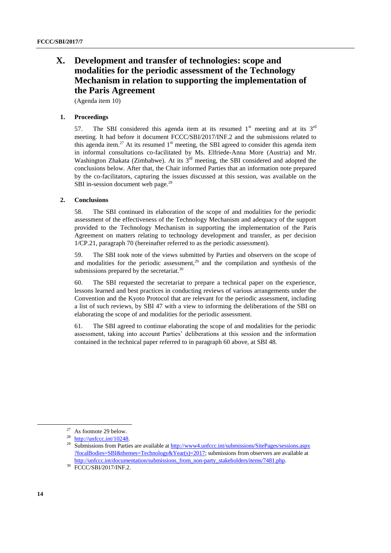# **X. Development and transfer of technologies: scope and modalities for the periodic assessment of the Technology Mechanism in relation to supporting the implementation of the Paris Agreement**

(Agenda item 10)

### **1. Proceedings**

57. The SBI considered this agenda item at its resumed  $1<sup>st</sup>$  meeting and at its  $3<sup>rd</sup>$ meeting. It had before it document FCCC/SBI/2017/INF.2 and the submissions related to this agenda item.<sup>27</sup> At its resumed  $1<sup>st</sup>$  meeting, the SBI agreed to consider this agenda item in informal consultations co-facilitated by Ms. Elfriede-Anna More (Austria) and Mr. Washington Zhakata (Zimbabwe). At its 3<sup>rd</sup> meeting, the SBI considered and adopted the conclusions below. After that, the Chair informed Parties that an information note prepared by the co-facilitators, capturing the issues discussed at this session, was available on the SBI in-session document web page. $^{28}$ 

### **2. Conclusions**

58. The SBI continued its elaboration of the scope of and modalities for the periodic assessment of the effectiveness of the Technology Mechanism and adequacy of the support provided to the Technology Mechanism in supporting the implementation of the Paris Agreement on matters relating to technology development and transfer, as per decision 1/CP.21, paragraph 70 (hereinafter referred to as the periodic assessment).

59. The SBI took note of the views submitted by Parties and observers on the scope of and modalities for the periodic assessment,<sup>29</sup> and the compilation and synthesis of the submissions prepared by the secretariat.<sup>30</sup>

60. The SBI requested the secretariat to prepare a technical paper on the experience, lessons learned and best practices in conducting reviews of various arrangements under the Convention and the Kyoto Protocol that are relevant for the periodic assessment, including a list of such reviews, by SBI 47 with a view to informing the deliberations of the SBI on elaborating the scope of and modalities for the periodic assessment.

61. The SBI agreed to continue elaborating the scope of and modalities for the periodic assessment, taking into account Parties' deliberations at this session and the information contained in the technical paper referred to in paragraph 60 above, at SBI 48.

<sup>&</sup>lt;sup>27</sup> As footnote 29 below.

http://unfccc.int/10248.

<sup>&</sup>lt;sup>29</sup> Submissions from Parties are available at <u>http://www4.unfccc.int/submissions/SitePages/sessions.aspx</u> [?focalBodies=SBI&themes=Technology&Year\(s\)=2017;](http://www4.unfccc.int/submissions/SitePages/sessions.aspx?focalBodies=SBI&themes=Technology&Year(s)=2017) submissions from observers are available at [http://unfccc.int/documentation/submissions\\_from\\_non-party\\_stakeholders/items/7481.php.](http://unfccc.int/documentation/submissions_from_non-party_stakeholders/items/7481.php)

<sup>30</sup> FCCC/SBI/2017/INF.2.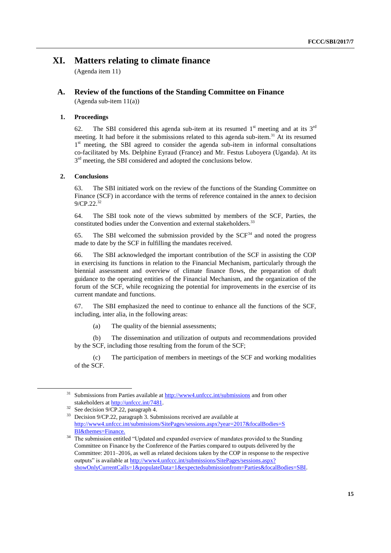# **XI. Matters relating to climate finance**

(Agenda item 11)

## **A. Review of the functions of the Standing Committee on Finance**

(Agenda sub-item 11(a))

### **1. Proceedings**

62. The SBI considered this agenda sub-item at its resumed  $1<sup>st</sup>$  meeting and at its  $3<sup>rd</sup>$ meeting. It had before it the submissions related to this agenda sub-item.<sup>31</sup> At its resumed 1<sup>st</sup> meeting, the SBI agreed to consider the agenda sub-item in informal consultations co-facilitated by Ms. Delphine Eyraud (France) and Mr. Festus Luboyera (Uganda). At its 3<sup>rd</sup> meeting, the SBI considered and adopted the conclusions below.

### **2. Conclusions**

63. The SBI initiated work on the review of the functions of the Standing Committee on Finance (SCF) in accordance with the terms of reference contained in the annex to decision 9/CP.22.<sup>32</sup>

64. The SBI took note of the views submitted by members of the SCF, Parties, the constituted bodies under the Convention and external stakeholders.<sup>33</sup>

65. The SBI welcomed the submission provided by the  $SCF<sup>34</sup>$  and noted the progress made to date by the SCF in fulfilling the mandates received.

66. The SBI acknowledged the important contribution of the SCF in assisting the COP in exercising its functions in relation to the Financial Mechanism, particularly through the biennial assessment and overview of climate finance flows, the preparation of draft guidance to the operating entities of the Financial Mechanism, and the organization of the forum of the SCF, while recognizing the potential for improvements in the exercise of its current mandate and functions.

67. The SBI emphasized the need to continue to enhance all the functions of the SCF, including, inter alia, in the following areas:

(a) The quality of the biennial assessments;

(b) The dissemination and utilization of outputs and recommendations provided by the SCF, including those resulting from the forum of the SCF;

(c) The participation of members in meetings of the SCF and working modalities of the SCF.

Submissions from Parties available at<http://www4.unfccc.int/submissions> and from other stakeholders a[t http://unfccc.int/7481.](http://unfccc.int/7481)

See decision 9/CP.22, paragraph 4.

<sup>33</sup> Decision 9/CP.22, paragraph 3. Submissions received are available at [http://www4.unfccc.int/submissions/SitePages/sessions.aspx?year=2017&focalBodies=S](http://www4.unfccc.int/submissions/SitePages/sessions.aspx?year=2017&focalBodies=SBI&themes=Finance) [BI&themes=Finance.](http://www4.unfccc.int/submissions/SitePages/sessions.aspx?year=2017&focalBodies=SBI&themes=Finance)

<sup>&</sup>lt;sup>34</sup> The submission entitled "Updated and expanded overview of mandates provided to the Standing Committee on Finance by the Conference of the Parties compared to outputs delivered by the Committee: 2011–2016, as well as related decisions taken by the COP in response to the respective outputs" is available at [http://www4.unfccc.int/submissions/SitePages/sessions.aspx?](http://www4.unfccc.int/submissions/SitePages/sessions.aspx?showOnlyCurrentCalls=1&populateData=1&expectedsubmissionfrom=Parties&focalBodies=SBI) [showOnlyCurrentCalls=1&populateData=1&expectedsubmissionfrom=Parties&focalBodies=SBI.](http://www4.unfccc.int/submissions/SitePages/sessions.aspx?showOnlyCurrentCalls=1&populateData=1&expectedsubmissionfrom=Parties&focalBodies=SBI)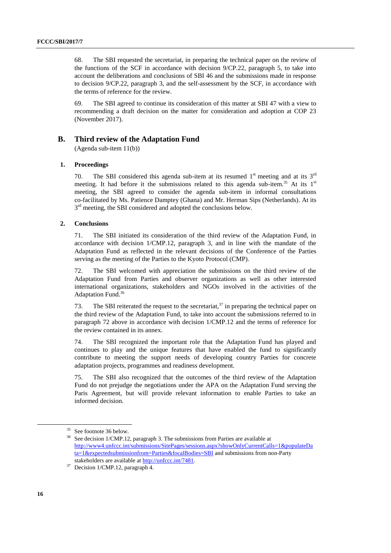68. The SBI requested the secretariat, in preparing the technical paper on the review of the functions of the SCF in accordance with decision 9/CP.22, paragraph 5, to take into account the deliberations and conclusions of SBI 46 and the submissions made in response to decision 9/CP.22, paragraph 3, and the self-assessment by the SCF, in accordance with the terms of reference for the review.

69. The SBI agreed to continue its consideration of this matter at SBI 47 with a view to recommending a draft decision on the matter for consideration and adoption at COP 23 (November 2017).

### **B. Third review of the Adaptation Fund**

(Agenda sub-item 11(b))

#### **1. Proceedings**

70. The SBI considered this agenda sub-item at its resumed  $1<sup>st</sup>$  meeting and at its  $3<sup>rd</sup>$ meeting. It had before it the submissions related to this agenda sub-item.<sup>35</sup> At its  $1<sup>st</sup>$ meeting, the SBI agreed to consider the agenda sub-item in informal consultations co-facilitated by Ms. Patience Damptey (Ghana) and Mr. Herman Sips (Netherlands). At its 3<sup>rd</sup> meeting, the SBI considered and adopted the conclusions below.

#### **2. Conclusions**

71. The SBI initiated its consideration of the third review of the Adaptation Fund, in accordance with decision 1/CMP.12, paragraph 3, and in line with the mandate of the Adaptation Fund as reflected in the relevant decisions of the Conference of the Parties serving as the meeting of the Parties to the Kyoto Protocol (CMP).

72. The SBI welcomed with appreciation the submissions on the third review of the Adaptation Fund from Parties and observer organizations as well as other interested international organizations, stakeholders and NGOs involved in the activities of the Adaptation Fund.<sup>36</sup>

73. The SBI reiterated the request to the secretariat,  $37$  in preparing the technical paper on the third review of the Adaptation Fund, to take into account the submissions referred to in paragraph 72 above in accordance with decision 1/CMP.12 and the terms of reference for the review contained in its annex.

74. The SBI recognized the important role that the Adaptation Fund has played and continues to play and the unique features that have enabled the fund to significantly contribute to meeting the support needs of developing country Parties for concrete adaptation projects, programmes and readiness development.

75. The SBI also recognized that the outcomes of the third review of the Adaptation Fund do not prejudge the negotiations under the APA on the Adaptation Fund serving the Paris Agreement, but will provide relevant information to enable Parties to take an informed decision.

<sup>35</sup> See footnote 36 below.

<sup>&</sup>lt;sup>36</sup> See decision 1/CMP.12, paragraph 3. The submissions from Parties are available at [http://www4.unfccc.int/submissions/SitePages/sessions.aspx?showOnlyCurrentCalls=1&populateDa](http://www4.unfccc.int/submissions/SitePages/sessions.aspx?showOnlyCurrentCalls=1&populateData=1&expectedsubmissionfrom=Parties&focalBodies=SBI) [ta=1&expectedsubmissionfrom=Parties&focalBodies=SBI](http://www4.unfccc.int/submissions/SitePages/sessions.aspx?showOnlyCurrentCalls=1&populateData=1&expectedsubmissionfrom=Parties&focalBodies=SBI) and submissions from non-Party stakeholders are available at [http://unfccc.int/7481.](http://unfccc.int/7481)

<sup>37</sup> Decision 1/CMP.12, paragraph 4.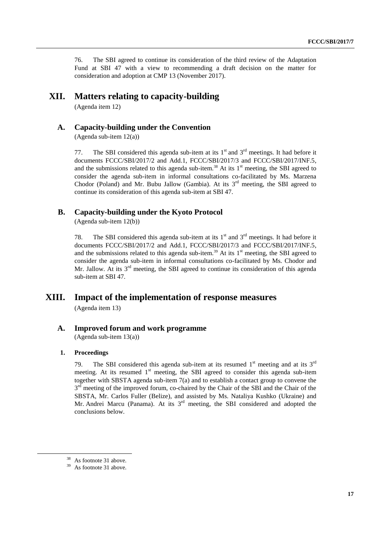76. The SBI agreed to continue its consideration of the third review of the Adaptation Fund at SBI 47 with a view to recommending a draft decision on the matter for consideration and adoption at CMP 13 (November 2017).

## **XII. Matters relating to capacity-building**

(Agenda item 12)

## **A. Capacity-building under the Convention**

(Agenda sub-item 12(a))

77. The SBI considered this agenda sub-item at its  $1<sup>st</sup>$  and  $3<sup>rd</sup>$  meetings. It had before it documents FCCC/SBI/2017/2 and Add.1, FCCC/SBI/2017/3 and FCCC/SBI/2017/INF.5, and the submissions related to this agenda sub-item.<sup>38</sup> At its  $1<sup>st</sup>$  meeting, the SBI agreed to consider the agenda sub-item in informal consultations co-facilitated by Ms. Marzena Chodor (Poland) and Mr. Bubu Jallow (Gambia). At its  $3<sup>rd</sup>$  meeting, the SBI agreed to continue its consideration of this agenda sub-item at SBI 47.

### **B. Capacity-building under the Kyoto Protocol**

(Agenda sub-item 12(b))

78. The SBI considered this agenda sub-item at its  $1<sup>st</sup>$  and  $3<sup>rd</sup>$  meetings. It had before it documents FCCC/SBI/2017/2 and Add.1, FCCC/SBI/2017/3 and FCCC/SBI/2017/INF.5, and the submissions related to this agenda sub-item.<sup>39</sup> At its  $1<sup>st</sup>$  meeting, the SBI agreed to consider the agenda sub-item in informal consultations co-facilitated by Ms. Chodor and Mr. Jallow. At its  $3<sup>rd</sup>$  meeting, the SBI agreed to continue its consideration of this agenda sub-item at SBI 47.

# **XIII. Impact of the implementation of response measures**

(Agenda item 13)

## **A. Improved forum and work programme**

(Agenda sub-item 13(a))

#### **1. Proceedings**

79. The SBI considered this agenda sub-item at its resumed  $1<sup>st</sup>$  meeting and at its  $3<sup>rd</sup>$ meeting. At its resumed 1<sup>st</sup> meeting, the SBI agreed to consider this agenda sub-item together with SBSTA agenda sub-item 7(a) and to establish a contact group to convene the 3<sup>rd</sup> meeting of the improved forum, co-chaired by the Chair of the SBI and the Chair of the SBSTA, Mr. Carlos Fuller (Belize), and assisted by Ms. Nataliya Kushko (Ukraine) and Mr. Andrei Marcu (Panama). At its  $3<sup>rd</sup>$  meeting, the SBI considered and adopted the conclusions below.

<sup>38</sup> As footnote 31 above.

<sup>&</sup>lt;sup>39</sup> As footnote 31 above.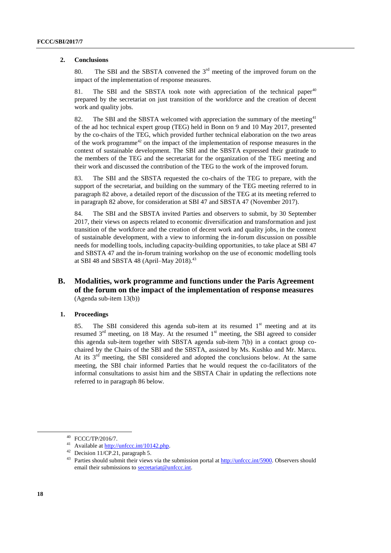#### **2. Conclusions**

80. The SBI and the SBSTA convened the  $3<sup>rd</sup>$  meeting of the improved forum on the impact of the implementation of response measures.

81. The SBI and the SBSTA took note with appreciation of the technical paper<sup>40</sup> prepared by the secretariat on just transition of the workforce and the creation of decent work and quality jobs.

82. The SBI and the SBSTA welcomed with appreciation the summary of the meeting<sup>41</sup> of the ad hoc technical expert group (TEG) held in Bonn on 9 and 10 May 2017, presented by the co-chairs of the TEG, which provided further technical elaboration on the two areas of the work programme<sup>42</sup> on the impact of the implementation of response measures in the context of sustainable development. The SBI and the SBSTA expressed their gratitude to the members of the TEG and the secretariat for the organization of the TEG meeting and their work and discussed the contribution of the TEG to the work of the improved forum.

83. The SBI and the SBSTA requested the co-chairs of the TEG to prepare, with the support of the secretariat, and building on the summary of the TEG meeting referred to in paragraph 82 above, a detailed report of the discussion of the TEG at its meeting referred to in paragraph 82 above, for consideration at SBI 47 and SBSTA 47 (November 2017).

84. The SBI and the SBSTA invited Parties and observers to submit, by 30 September 2017, their views on aspects related to economic diversification and transformation and just transition of the workforce and the creation of decent work and quality jobs, in the context of sustainable development, with a view to informing the in-forum discussion on possible needs for modelling tools, including capacity-building opportunities, to take place at SBI 47 and SBSTA 47 and the in-forum training workshop on the use of economic modelling tools at SBI 48 and SBSTA 48 (April–May 2018).<sup>43</sup>

### **B. Modalities, work programme and functions under the Paris Agreement of the forum on the impact of the implementation of response measures** (Agenda sub-item 13(b))

### **1. Proceedings**

85. The SBI considered this agenda sub-item at its resumed  $1<sup>st</sup>$  meeting and at its resumed  $3<sup>rd</sup>$  meeting, on 18 May. At the resumed  $1<sup>st</sup>$  meeting, the SBI agreed to consider this agenda sub-item together with SBSTA agenda sub-item 7(b) in a contact group cochaired by the Chairs of the SBI and the SBSTA, assisted by Ms. Kushko and Mr. Marcu. At its 3rd meeting, the SBI considered and adopted the conclusions below. At the same meeting, the SBI chair informed Parties that he would request the co-facilitators of the informal consultations to assist him and the SBSTA Chair in updating the reflections note referred to in paragraph 86 below.

<sup>40</sup> FCCC/TP/2016/7.

<sup>41</sup> Available at [http://unfccc.int/10142.php.](http://unfccc.int/10142.php)

<sup>&</sup>lt;sup>42</sup> Decision  $11/\overline{CP}.21$ , paragraph 5.

<sup>&</sup>lt;sup>43</sup> Parties should submit their views via the submission portal a[t http://unfccc.int/5900.](http://unfccc.int/5900) Observers should email their submissions to [secretariat@unfccc.int.](mailto:secretariat@unfccc.int)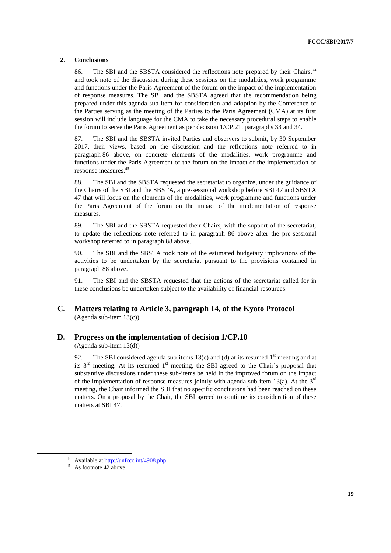#### **2. Conclusions**

86. The SBI and the SBSTA considered the reflections note prepared by their Chairs.<sup>44</sup> and took note of the discussion during these sessions on the modalities, work programme and functions under the Paris Agreement of the forum on the impact of the implementation of response measures. The SBI and the SBSTA agreed that the recommendation being prepared under this agenda sub-item for consideration and adoption by the Conference of the Parties serving as the meeting of the Parties to the Paris Agreement (CMA) at its first session will include language for the CMA to take the necessary procedural steps to enable the forum to serve the Paris Agreement as per decision 1/CP.21, paragraphs 33 and 34.

87. The SBI and the SBSTA invited Parties and observers to submit, by 30 September 2017, their views, based on the discussion and the reflections note referred to in paragraph 86 above, on concrete elements of the modalities, work programme and functions under the Paris Agreement of the forum on the impact of the implementation of response measures.<sup>45</sup>

88. The SBI and the SBSTA requested the secretariat to organize, under the guidance of the Chairs of the SBI and the SBSTA, a pre-sessional workshop before SBI 47 and SBSTA 47 that will focus on the elements of the modalities, work programme and functions under the Paris Agreement of the forum on the impact of the implementation of response measures.

89. The SBI and the SBSTA requested their Chairs, with the support of the secretariat, to update the reflections note referred to in paragraph 86 above after the pre-sessional workshop referred to in paragraph 88 above.

90. The SBI and the SBSTA took note of the estimated budgetary implications of the activities to be undertaken by the secretariat pursuant to the provisions contained in paragraph 88 above.

91. The SBI and the SBSTA requested that the actions of the secretariat called for in these conclusions be undertaken subject to the availability of financial resources.

## **C. Matters relating to Article 3, paragraph 14, of the Kyoto Protocol** (Agenda sub-item 13(c))

### **D. Progress on the implementation of decision 1/CP.10**

(Agenda sub-item 13(d))

92. The SBI considered agenda sub-items 13(c) and (d) at its resumed  $1<sup>st</sup>$  meeting and at its  $3<sup>rd</sup>$  meeting. At its resumed  $1<sup>st</sup>$  meeting, the SBI agreed to the Chair's proposal that substantive discussions under these sub-items be held in the improved forum on the impact of the implementation of response measures jointly with agenda sub-item 13(a). At the  $3<sup>rd</sup>$ meeting, the Chair informed the SBI that no specific conclusions had been reached on these matters. On a proposal by the Chair, the SBI agreed to continue its consideration of these matters at SBI 47.

<sup>44</sup> Available at [http://unfccc.int/4908.php.](http://unfccc.int/4908.php)

 $45$  As footnote  $\overline{42}$  above.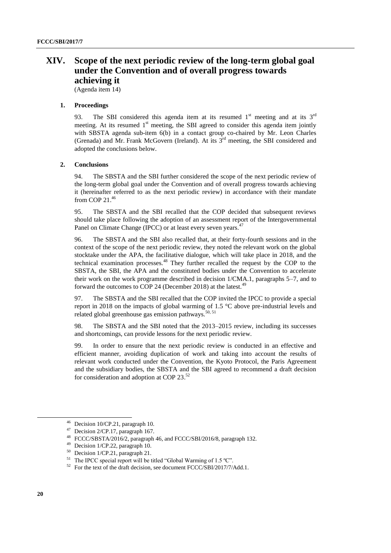# **XIV. Scope of the next periodic review of the long-term global goal under the Convention and of overall progress towards achieving it**

(Agenda item 14)

#### **1. Proceedings**

93. The SBI considered this agenda item at its resumed  $1<sup>st</sup>$  meeting and at its  $3<sup>rd</sup>$ meeting. At its resumed  $1<sup>st</sup>$  meeting, the SBI agreed to consider this agenda item jointly with SBSTA agenda sub-item 6(b) in a contact group co-chaired by Mr. Leon Charles (Grenada) and Mr. Frank McGovern (Ireland). At its  $3<sup>rd</sup>$  meeting, the SBI considered and adopted the conclusions below.

#### **2. Conclusions**

94. The SBSTA and the SBI further considered the scope of the next periodic review of the long-term global goal under the Convention and of overall progress towards achieving it (hereinafter referred to as the next periodic review) in accordance with their mandate from COP 21. 46

95. The SBSTA and the SBI recalled that the COP decided that subsequent reviews should take place following the adoption of an assessment report of the Intergovernmental Panel on Climate Change (IPCC) or at least every seven years.<sup>47</sup>

96. The SBSTA and the SBI also recalled that, at their forty-fourth sessions and in the context of the scope of the next periodic review, they noted the relevant work on the global stocktake under the APA, the facilitative dialogue, which will take place in 2018, and the technical examination processes.<sup>48</sup> They further recalled the request by the COP to the SBSTA, the SBI, the APA and the constituted bodies under the Convention to accelerate their work on the work programme described in decision 1/CMA.1, paragraphs 5–7, and to forward the outcomes to COP 24 (December 2018) at the latest.<sup>4</sup>

97. The SBSTA and the SBI recalled that the COP invited the IPCC to provide a special report in 2018 on the impacts of global warming of 1.5 °C above pre-industrial levels and related global greenhouse gas emission pathways.<sup>50, 51</sup>

98. The SBSTA and the SBI noted that the 2013–2015 review, including its successes and shortcomings, can provide lessons for the next periodic review.

99. In order to ensure that the next periodic review is conducted in an effective and efficient manner, avoiding duplication of work and taking into account the results of relevant work conducted under the Convention, the Kyoto Protocol, the Paris Agreement and the subsidiary bodies, the SBSTA and the SBI agreed to recommend a draft decision for consideration and adoption at COP 23.<sup>52</sup>

<sup>46</sup> Decision 10/CP.21, paragraph 10.

<sup>47</sup> Decision 2/CP.17, paragraph 167.

<sup>48</sup> FCCC/SBSTA/2016/2, paragraph 46, and FCCC/SBI/2016/8, paragraph 132.

<sup>49</sup> Decision 1/CP.22, paragraph 10.

<sup>50</sup> Decision 1/CP.21, paragraph 21.

<sup>&</sup>lt;sup>51</sup> The IPCC special report will be titled "Global Warming of 1.5 °C".

 $52$  For the text of the draft decision, see document FCCC/SBI/2017/7/Add.1.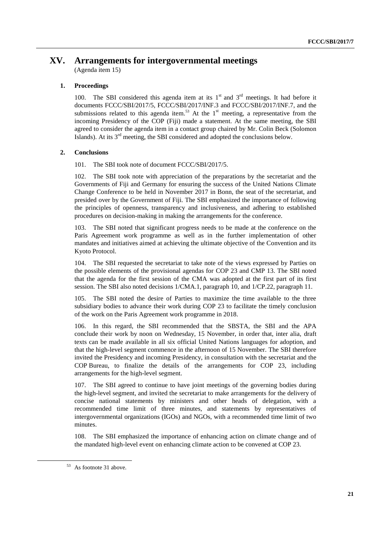# **XV. Arrangements for intergovernmental meetings**

(Agenda item 15)

### **1. Proceedings**

100. The SBI considered this agenda item at its  $1<sup>st</sup>$  and  $3<sup>rd</sup>$  meetings. It had before it documents FCCC/SBI/2017/5, FCCC/SBI/2017/INF.3 and FCCC/SBI/2017/INF.7, and the submissions related to this agenda item.<sup>53</sup> At the  $1<sup>st</sup>$  meeting, a representative from the incoming Presidency of the COP (Fiji) made a statement. At the same meeting, the SBI agreed to consider the agenda item in a contact group chaired by Mr. Colin Beck (Solomon Islands). At its  $3<sup>rd</sup>$  meeting, the SBI considered and adopted the conclusions below.

### **2. Conclusions**

101. The SBI took note of document FCCC/SBI/2017/5.

102. The SBI took note with appreciation of the preparations by the secretariat and the Governments of Fiji and Germany for ensuring the success of the United Nations Climate Change Conference to be held in November 2017 in Bonn, the seat of the secretariat, and presided over by the Government of Fiji. The SBI emphasized the importance of following the principles of openness, transparency and inclusiveness, and adhering to established procedures on decision-making in making the arrangements for the conference.

103. The SBI noted that significant progress needs to be made at the conference on the Paris Agreement work programme as well as in the further implementation of other mandates and initiatives aimed at achieving the ultimate objective of the Convention and its Kyoto Protocol.

104. The SBI requested the secretariat to take note of the views expressed by Parties on the possible elements of the provisional agendas for COP 23 and CMP 13. The SBI noted that the agenda for the first session of the CMA was adopted at the first part of its first session. The SBI also noted decisions 1/CMA.1, paragraph 10, and 1/CP.22, paragraph 11.

105. The SBI noted the desire of Parties to maximize the time available to the three subsidiary bodies to advance their work during COP 23 to facilitate the timely conclusion of the work on the Paris Agreement work programme in 2018.

106. In this regard, the SBI recommended that the SBSTA, the SBI and the APA conclude their work by noon on Wednesday, 15 November, in order that, inter alia, draft texts can be made available in all six official United Nations languages for adoption, and that the high-level segment commence in the afternoon of 15 November. The SBI therefore invited the Presidency and incoming Presidency, in consultation with the secretariat and the COP Bureau, to finalize the details of the arrangements for COP 23, including arrangements for the high-level segment.

107. The SBI agreed to continue to have joint meetings of the governing bodies during the high-level segment, and invited the secretariat to make arrangements for the delivery of concise national statements by ministers and other heads of delegation, with a recommended time limit of three minutes, and statements by representatives of intergovernmental organizations (IGOs) and NGOs, with a recommended time limit of two minutes.

108. The SBI emphasized the importance of enhancing action on climate change and of the mandated high-level event on enhancing climate action to be convened at COP 23.

<sup>53</sup> As footnote 31 above.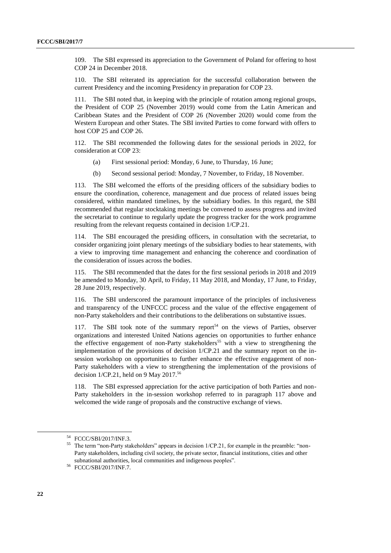109. The SBI expressed its appreciation to the Government of Poland for offering to host COP 24 in December 2018.

110. The SBI reiterated its appreciation for the successful collaboration between the current Presidency and the incoming Presidency in preparation for COP 23.

111. The SBI noted that, in keeping with the principle of rotation among regional groups, the President of COP 25 (November 2019) would come from the Latin American and Caribbean States and the President of COP 26 (November 2020) would come from the Western European and other States. The SBI invited Parties to come forward with offers to host COP 25 and COP 26.

112. The SBI recommended the following dates for the sessional periods in 2022, for consideration at COP 23:

- (a) First sessional period: Monday, 6 June, to Thursday, 16 June;
- (b) Second sessional period: Monday, 7 November, to Friday, 18 November.

113. The SBI welcomed the efforts of the presiding officers of the subsidiary bodies to ensure the coordination, coherence, management and due process of related issues being considered, within mandated timelines, by the subsidiary bodies. In this regard, the SBI recommended that regular stocktaking meetings be convened to assess progress and invited the secretariat to continue to regularly update the progress tracker for the work programme resulting from the relevant requests contained in decision 1/CP.21.

114. The SBI encouraged the presiding officers, in consultation with the secretariat, to consider organizing joint plenary meetings of the subsidiary bodies to hear statements, with a view to improving time management and enhancing the coherence and coordination of the consideration of issues across the bodies.

115. The SBI recommended that the dates for the first sessional periods in 2018 and 2019 be amended to Monday, 30 April, to Friday, 11 May 2018, and Monday, 17 June, to Friday, 28 June 2019, respectively.

116. The SBI underscored the paramount importance of the principles of inclusiveness and transparency of the UNFCCC process and the value of the effective engagement of non-Party stakeholders and their contributions to the deliberations on substantive issues.

117. The SBI took note of the summary report<sup>54</sup> on the views of Parties, observer organizations and interested United Nations agencies on opportunities to further enhance the effective engagement of non-Party stakeholders<sup>55</sup> with a view to strengthening the implementation of the provisions of decision 1/CP.21 and the summary report on the insession workshop on opportunities to further enhance the effective engagement of non-Party stakeholders with a view to strengthening the implementation of the provisions of decision  $1$ /CP.21, held on 9 May 2017.<sup>56</sup>

118. The SBI expressed appreciation for the active participation of both Parties and non-Party stakeholders in the in-session workshop referred to in paragraph 117 above and welcomed the wide range of proposals and the constructive exchange of views.

<sup>54</sup> FCCC/SBI/2017/INF.3.

<sup>&</sup>lt;sup>55</sup> The term "non-Party stakeholders" appears in decision 1/CP.21, for example in the preamble: "non-Party stakeholders, including civil society, the private sector, financial institutions, cities and other subnational authorities, local communities and indigenous peoples".

<sup>56</sup> FCCC/SBI/2017/INF.7.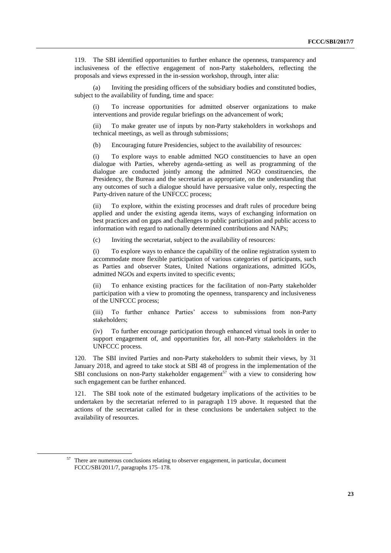119. The SBI identified opportunities to further enhance the openness, transparency and inclusiveness of the effective engagement of non-Party stakeholders, reflecting the proposals and views expressed in the in-session workshop, through, inter alia:

(a) Inviting the presiding officers of the subsidiary bodies and constituted bodies, subject to the availability of funding, time and space:

(i) To increase opportunities for admitted observer organizations to make interventions and provide regular briefings on the advancement of work;

(ii) To make greater use of inputs by non-Party stakeholders in workshops and technical meetings, as well as through submissions;

(b) Encouraging future Presidencies, subject to the availability of resources:

(i) To explore ways to enable admitted NGO constituencies to have an open dialogue with Parties, whereby agenda-setting as well as programming of the dialogue are conducted jointly among the admitted NGO constituencies, the Presidency, the Bureau and the secretariat as appropriate, on the understanding that any outcomes of such a dialogue should have persuasive value only, respecting the Party-driven nature of the UNFCCC process;

(ii) To explore, within the existing processes and draft rules of procedure being applied and under the existing agenda items, ways of exchanging information on best practices and on gaps and challenges to public participation and public access to information with regard to nationally determined contributions and NAPs;

(c) Inviting the secretariat, subject to the availability of resources:

(i) To explore ways to enhance the capability of the online registration system to accommodate more flexible participation of various categories of participants, such as Parties and observer States, United Nations organizations, admitted IGOs, admitted NGOs and experts invited to specific events;

(ii) To enhance existing practices for the facilitation of non-Party stakeholder participation with a view to promoting the openness, transparency and inclusiveness of the UNFCCC process;

(iii) To further enhance Parties' access to submissions from non-Party stakeholders;

(iv) To further encourage participation through enhanced virtual tools in order to support engagement of, and opportunities for, all non-Party stakeholders in the UNFCCC process.

120. The SBI invited Parties and non-Party stakeholders to submit their views, by 31 January 2018, and agreed to take stock at SBI 48 of progress in the implementation of the SBI conclusions on non-Party stakeholder engagement<sup>57</sup> with a view to considering how such engagement can be further enhanced.

121. The SBI took note of the estimated budgetary implications of the activities to be undertaken by the secretariat referred to in paragraph 119 above. It requested that the actions of the secretariat called for in these conclusions be undertaken subject to the availability of resources.

<sup>57</sup> There are numerous conclusions relating to observer engagement, in particular, document FCCC/SBI/2011/7, paragraphs 175–178.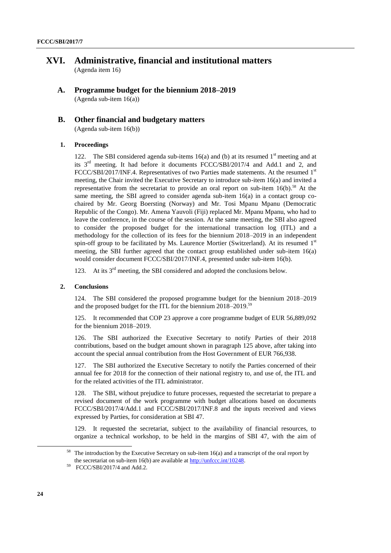## **XVI. Administrative, financial and institutional matters** (Agenda item 16)

**A. Programme budget for the biennium 2018–2019** (Agenda sub-item 16(a))

## **B. Other financial and budgetary matters**

(Agenda sub-item 16(b))

### **1. Proceedings**

122. The SBI considered agenda sub-items 16(a) and (b) at its resumed  $1<sup>st</sup>$  meeting and at its 3rd meeting. It had before it documents FCCC/SBI/2017/4 and Add.1 and 2, and FCCC/SBI/2017/INF.4. Representatives of two Parties made statements. At the resumed 1st meeting, the Chair invited the Executive Secretary to introduce sub-item 16(a) and invited a representative from the secretariat to provide an oral report on sub-item 16(b).<sup>58</sup> At the same meeting, the SBI agreed to consider agenda sub-item 16(a) in a contact group cochaired by Mr. Georg Boersting (Norway) and Mr. Tosi Mpanu Mpanu (Democratic Republic of the Congo). Mr. Amena Yauvoli (Fiji) replaced Mr. Mpanu Mpanu, who had to leave the conference, in the course of the session. At the same meeting, the SBI also agreed to consider the proposed budget for the international transaction log (ITL) and a methodology for the collection of its fees for the biennium 2018–2019 in an independent spin-off group to be facilitated by Ms. Laurence Mortier (Switzerland). At its resumed  $1<sup>st</sup>$ meeting, the SBI further agreed that the contact group established under sub-item 16(a) would consider document FCCC/SBI/2017/INF.4, presented under sub-item 16(b).

123. At its  $3<sup>rd</sup>$  meeting, the SBI considered and adopted the conclusions below.

### **2. Conclusions**

124. The SBI considered the proposed programme budget for the biennium 2018–2019 and the proposed budget for the ITL for the biennium 2018–2019.<sup>59</sup>

125. It recommended that COP 23 approve a core programme budget of EUR 56,889,092 for the biennium 2018–2019.

126. The SBI authorized the Executive Secretary to notify Parties of their 2018 contributions, based on the budget amount shown in paragraph 125 above, after taking into account the special annual contribution from the Host Government of EUR 766,938.

127. The SBI authorized the Executive Secretary to notify the Parties concerned of their annual fee for 2018 for the connection of their national registry to, and use of, the ITL and for the related activities of the ITL administrator.

128. The SBI, without prejudice to future processes, requested the secretariat to prepare a revised document of the work programme with budget allocations based on documents FCCC/SBI/2017/4/Add.1 and FCCC/SBI/2017/INF.8 and the inputs received and views expressed by Parties, for consideration at SBI 47.

129. It requested the secretariat, subject to the availability of financial resources, to organize a technical workshop, to be held in the margins of SBI 47, with the aim of

<sup>&</sup>lt;sup>58</sup> The introduction by the Executive Secretary on sub-item 16(a) and a transcript of the oral report by the secretariat on sub-item 16(b) are available at http://unfccc.int/10248.

 $59$  FCCC/SBI/2017/4 and Add.2.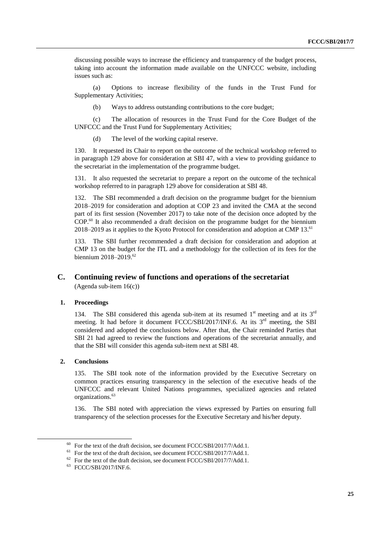discussing possible ways to increase the efficiency and transparency of the budget process, taking into account the information made available on the UNFCCC website, including issues such as:

(a) Options to increase flexibility of the funds in the Trust Fund for Supplementary Activities;

(b) Ways to address outstanding contributions to the core budget;

(c) The allocation of resources in the Trust Fund for the Core Budget of the UNFCCC and the Trust Fund for Supplementary Activities;

(d) The level of the working capital reserve.

130. It requested its Chair to report on the outcome of the technical workshop referred to in paragraph 129 above for consideration at SBI 47, with a view to providing guidance to the secretariat in the implementation of the programme budget.

131. It also requested the secretariat to prepare a report on the outcome of the technical workshop referred to in paragraph 129 above for consideration at SBI 48.

132. The SBI recommended a draft decision on the programme budget for the biennium 2018–2019 for consideration and adoption at COP 23 and invited the CMA at the second part of its first session (November 2017) to take note of the decision once adopted by the COP.<sup>60</sup> It also recommended a draft decision on the programme budget for the biennium 2018–2019 as it applies to the Kyoto Protocol for consideration and adoption at CMP 13.<sup>61</sup>

133. The SBI further recommended a draft decision for consideration and adoption at CMP 13 on the budget for the ITL and a methodology for the collection of its fees for the biennium 2018–2019. 62

### **C. Continuing review of functions and operations of the secretariat** (Agenda sub-item 16(c))

### **1. Proceedings**

134. The SBI considered this agenda sub-item at its resumed  $1<sup>st</sup>$  meeting and at its  $3<sup>rd</sup>$ meeting. It had before it document FCCC/SBI/2017/INF.6. At its 3<sup>rd</sup> meeting, the SBI considered and adopted the conclusions below. After that, the Chair reminded Parties that SBI 21 had agreed to review the functions and operations of the secretariat annually, and that the SBI will consider this agenda sub-item next at SBI 48.

#### **2. Conclusions**

-

135. The SBI took note of the information provided by the Executive Secretary on common practices ensuring transparency in the selection of the executive heads of the UNFCCC and relevant United Nations programmes, specialized agencies and related organizations.<sup>63</sup>

136. The SBI noted with appreciation the views expressed by Parties on ensuring full transparency of the selection processes for the Executive Secretary and his/her deputy.

 $60$  For the text of the draft decision, see document FCCC/SBI/2017/7/Add.1.

 $61$  For the text of the draft decision, see document FCCC/SBI/2017/7/Add.1.

 $62$  For the text of the draft decision, see document FCCC/SBI/2017/7/Add.1.

<sup>63</sup> FCCC/SBI/2017/INF.6.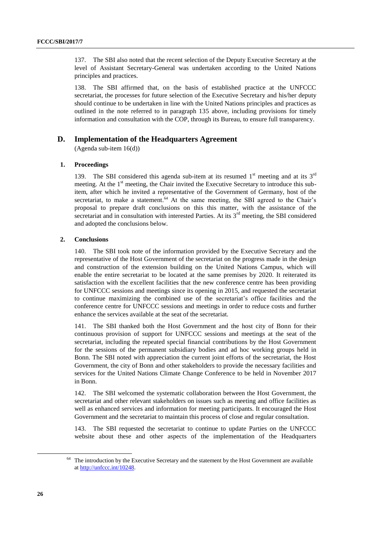137. The SBI also noted that the recent selection of the Deputy Executive Secretary at the level of Assistant Secretary-General was undertaken according to the United Nations principles and practices.

138. The SBI affirmed that, on the basis of established practice at the UNFCCC secretariat, the processes for future selection of the Executive Secretary and his/her deputy should continue to be undertaken in line with the United Nations principles and practices as outlined in the note referred to in paragraph 135 above, including provisions for timely information and consultation with the COP, through its Bureau, to ensure full transparency.

#### **D. Implementation of the Headquarters Agreement**

(Agenda sub-item 16(d))

#### **1. Proceedings**

139. The SBI considered this agenda sub-item at its resumed  $1<sup>st</sup>$  meeting and at its  $3<sup>rd</sup>$ meeting. At the 1<sup>st</sup> meeting, the Chair invited the Executive Secretary to introduce this subitem, after which he invited a representative of the Government of Germany, host of the secretariat, to make a statement.<sup>64</sup> At the same meeting, the SBI agreed to the Chair's proposal to prepare draft conclusions on this this matter, with the assistance of the secretariat and in consultation with interested Parties. At its  $3<sup>rd</sup>$  meeting, the SBI considered and adopted the conclusions below.

#### **2. Conclusions**

140. The SBI took note of the information provided by the Executive Secretary and the representative of the Host Government of the secretariat on the progress made in the design and construction of the extension building on the United Nations Campus, which will enable the entire secretariat to be located at the same premises by 2020. It reiterated its satisfaction with the excellent facilities that the new conference centre has been providing for UNFCCC sessions and meetings since its opening in 2015, and requested the secretariat to continue maximizing the combined use of the secretariat's office facilities and the conference centre for UNFCCC sessions and meetings in order to reduce costs and further enhance the services available at the seat of the secretariat.

141. The SBI thanked both the Host Government and the host city of Bonn for their continuous provision of support for UNFCCC sessions and meetings at the seat of the secretariat, including the repeated special financial contributions by the Host Government for the sessions of the permanent subsidiary bodies and ad hoc working groups held in Bonn. The SBI noted with appreciation the current joint efforts of the secretariat, the Host Government, the city of Bonn and other stakeholders to provide the necessary facilities and services for the United Nations Climate Change Conference to be held in November 2017 in Bonn.

142. The SBI welcomed the systematic collaboration between the Host Government, the secretariat and other relevant stakeholders on issues such as meeting and office facilities as well as enhanced services and information for meeting participants. It encouraged the Host Government and the secretariat to maintain this process of close and regular consultation.

143. The SBI requested the secretariat to continue to update Parties on the UNFCCC website about these and other aspects of the implementation of the Headquarters

<sup>&</sup>lt;sup>64</sup> The introduction by the Executive Secretary and the statement by the Host Government are available at [http://unfccc.int/10248.](http://unfccc.int/10248)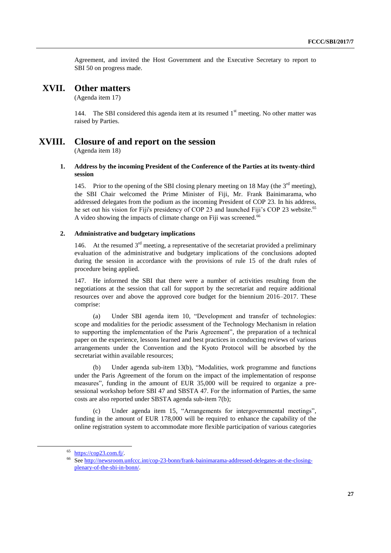Agreement, and invited the Host Government and the Executive Secretary to report to SBI 50 on progress made.

### **XVII. Other matters**

(Agenda item 17)

144. The SBI considered this agenda item at its resumed  $1<sup>st</sup>$  meeting. No other matter was raised by Parties.

# **XVIII. Closure of and report on the session**

(Agenda item 18)

### **1. Address by the incoming President of the Conference of the Parties at its twenty-third session**

145. Prior to the opening of the SBI closing plenary meeting on 18 May (the  $3<sup>rd</sup>$  meeting), the SBI Chair welcomed the Prime Minister of Fiji, Mr. Frank Bainimarama, who addressed delegates from the podium as the incoming President of COP 23. In his address, he set out his vision for Fiji's presidency of COP 23 and launched Fiji's COP 23 website.<sup>65</sup> A video showing the impacts of climate change on Fiji was screened.<sup>66</sup>

### **2. Administrative and budgetary implications**

146. At the resumed  $3<sup>rd</sup>$  meeting, a representative of the secretariat provided a preliminary evaluation of the administrative and budgetary implications of the conclusions adopted during the session in accordance with the provisions of rule 15 of the draft rules of procedure being applied.

147. He informed the SBI that there were a number of activities resulting from the negotiations at the session that call for support by the secretariat and require additional resources over and above the approved core budget for the biennium 2016–2017. These comprise:

(a) Under SBI agenda item 10, "Development and transfer of technologies: scope and modalities for the periodic assessment of the Technology Mechanism in relation to supporting the implementation of the Paris Agreement", the preparation of a technical paper on the experience, lessons learned and best practices in conducting reviews of various arrangements under the Convention and the Kyoto Protocol will be absorbed by the secretariat within available resources;

(b) Under agenda sub-item 13(b), "Modalities, work programme and functions under the Paris Agreement of the forum on the impact of the implementation of response measures", funding in the amount of EUR 35,000 will be required to organize a presessional workshop before SBI 47 and SBSTA 47. For the information of Parties, the same costs are also reported under SBSTA agenda sub-item 7(b);

Under agenda item 15, "Arrangements for intergovernmental meetings", funding in the amount of EUR 178,000 will be required to enhance the capability of the online registration system to accommodate more flexible participation of various categories

<sup>65</sup> [https://cop23.com.fj/.](https://cop23.com.fj/)

<sup>66</sup> Se[e http://newsroom.unfccc.int/cop-23-bonn/frank-bainimarama-addressed-delegates-at-the-closing](http://newsroom.unfccc.int/cop-23-bonn/frank-bainimarama-addressed-delegates-at-the-closing-plenary-of-the-sbi-in-bonn/)[plenary-of-the-sbi-in-bonn/.](http://newsroom.unfccc.int/cop-23-bonn/frank-bainimarama-addressed-delegates-at-the-closing-plenary-of-the-sbi-in-bonn/)